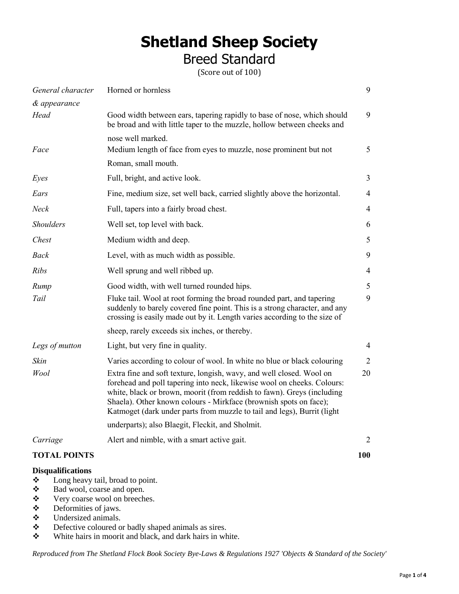# **Shetland Sheep Society**

Breed Standard

(Score out of 100)

| General character   | Horned or hornless                                                                                                                                                                                                                                                                                                                                                        | 9              |
|---------------------|---------------------------------------------------------------------------------------------------------------------------------------------------------------------------------------------------------------------------------------------------------------------------------------------------------------------------------------------------------------------------|----------------|
| & appearance        |                                                                                                                                                                                                                                                                                                                                                                           |                |
| Head                | Good width between ears, tapering rapidly to base of nose, which should<br>be broad and with little taper to the muzzle, hollow between cheeks and                                                                                                                                                                                                                        | 9              |
|                     | nose well marked.                                                                                                                                                                                                                                                                                                                                                         |                |
| Face                | Medium length of face from eyes to muzzle, nose prominent but not                                                                                                                                                                                                                                                                                                         | 5              |
|                     | Roman, small mouth.                                                                                                                                                                                                                                                                                                                                                       |                |
| Eyes                | Full, bright, and active look.                                                                                                                                                                                                                                                                                                                                            | 3              |
| Ears                | Fine, medium size, set well back, carried slightly above the horizontal.                                                                                                                                                                                                                                                                                                  | $\overline{4}$ |
| Neck                | Full, tapers into a fairly broad chest.                                                                                                                                                                                                                                                                                                                                   | 4              |
| <b>Shoulders</b>    | Well set, top level with back.                                                                                                                                                                                                                                                                                                                                            | 6              |
| Chest               | Medium width and deep.                                                                                                                                                                                                                                                                                                                                                    | 5              |
| <b>Back</b>         | Level, with as much width as possible.                                                                                                                                                                                                                                                                                                                                    | 9              |
| <b>Ribs</b>         | Well sprung and well ribbed up.                                                                                                                                                                                                                                                                                                                                           | $\overline{4}$ |
| Rump                | Good width, with well turned rounded hips.                                                                                                                                                                                                                                                                                                                                | 5              |
| Tail                | Fluke tail. Wool at root forming the broad rounded part, and tapering<br>suddenly to barely covered fine point. This is a strong character, and any<br>crossing is easily made out by it. Length varies according to the size of                                                                                                                                          | 9              |
|                     | sheep, rarely exceeds six inches, or thereby.                                                                                                                                                                                                                                                                                                                             |                |
| Legs of mutton      | Light, but very fine in quality.                                                                                                                                                                                                                                                                                                                                          | $\overline{4}$ |
| Skin                | Varies according to colour of wool. In white no blue or black colouring                                                                                                                                                                                                                                                                                                   | $\overline{2}$ |
| Wool                | Extra fine and soft texture, longish, wavy, and well closed. Wool on<br>forehead and poll tapering into neck, likewise wool on cheeks. Colours:<br>white, black or brown, moorit (from reddish to fawn). Greys (including<br>Shaela). Other known colours - Mirkface (brownish spots on face);<br>Katmoget (dark under parts from muzzle to tail and legs), Burrit (light | 20             |
|                     | underparts); also Blaegit, Fleckit, and Sholmit.                                                                                                                                                                                                                                                                                                                          |                |
| Carriage            | Alert and nimble, with a smart active gait.                                                                                                                                                                                                                                                                                                                               | 2              |
| <b>TOTAL POINTS</b> |                                                                                                                                                                                                                                                                                                                                                                           | 100            |

# **Disqualifications**

- Long heavy tail, broad to point.
- Bad wool, coarse and open.
- Very coarse wool on breeches.
- Deformities of jaws.
- Undersized animals.
- Defective coloured or badly shaped animals as sires.
- White hairs in moorit and black, and dark hairs in white.

*Reproduced from The Shetland Flock Book Society Bye-Laws & Regulations 1927 'Objects & Standard of the Society'*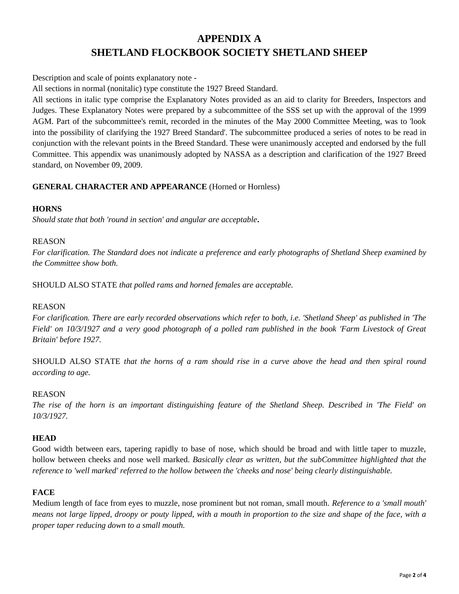# **APPENDIX A SHETLAND FLOCKBOOK SOCIETY SHETLAND SHEEP**

Description and scale of points explanatory note -

All sections in normal (nonitalic) type constitute the 1927 Breed Standard.

All sections in italic type comprise the Explanatory Notes provided as an aid to clarity for Breeders, Inspectors and Judges. These Explanatory Notes were prepared by a subcommittee of the SSS set up with the approval of the 1999 AGM. Part of the subcommittee's remit, recorded in the minutes of the May 2000 Committee Meeting, was to 'look into the possibility of clarifying the 1927 Breed Standard'. The subcommittee produced a series of notes to be read in conjunction with the relevant points in the Breed Standard. These were unanimously accepted and endorsed by the full Committee. This appendix was unanimously adopted by NASSA as a description and clarification of the 1927 Breed standard, on November 09, 2009.

#### **GENERAL CHARACTER AND APPEARANCE** (Horned or Hornless)

#### **HORNS**

*Should state that both 'round in section' and angular are acceptable***.**

#### REASON

*For clarification. The Standard does not indicate a preference and early photographs of Shetland Sheep examined by the Committee show both.*

SHOULD ALSO STATE *that polled rams and horned females are acceptable.*

#### REASON

*For clarification. There are early recorded observations which refer to both, i.e. 'Shetland Sheep' as published in 'The Field' on 10/3/1927 and a very good photograph of a polled ram published in the book 'Farm Livestock of Great Britain' before 1927.*

SHOULD ALSO STATE *that the horns of a ram should rise in a curve above the head and then spiral round according to age.*

#### REASON

*The rise of the horn is an important distinguishing feature of the Shetland Sheep. Described in 'The Field' on 10/3/1927.*

#### **HEAD**

Good width between ears, tapering rapidly to base of nose, which should be broad and with little taper to muzzle, hollow between cheeks and nose well marked. *Basically clear as written, but the subCommittee highlighted that the reference to 'well marked' referred to the hollow between the 'cheeks and nose' being clearly distinguishable.*

# **FACE**

Medium length of face from eyes to muzzle, nose prominent but not roman, small mouth. *Reference to a 'small mouth' means not large lipped, droopy or pouty lipped, with a mouth in proportion to the size and shape of the face, with a proper taper reducing down to a small mouth.*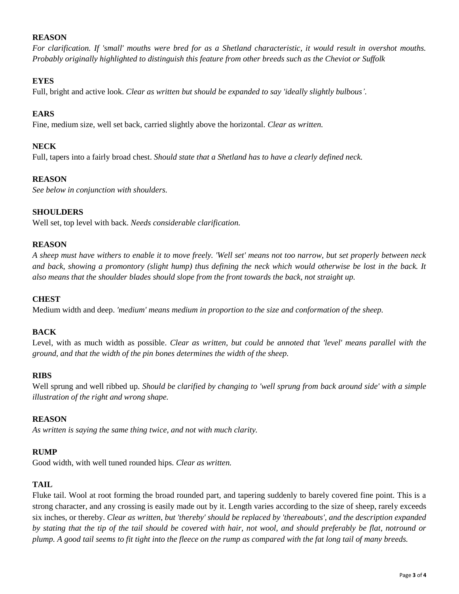# **REASON**

*For clarification. If 'small' mouths were bred for as a Shetland characteristic, it would result in overshot mouths. Probably originally highlighted to distinguish this feature from other breeds such as the Cheviot or Suffolk*

# **EYES**

Full, bright and active look. *Clear as written but should be expanded to say 'ideally slightly bulbous'.*

# **EARS**

Fine, medium size, well set back, carried slightly above the horizontal. *Clear as written.*

# **NECK**

Full, tapers into a fairly broad chest. *Should state that a Shetland has to have a clearly defined neck.*

#### **REASON**

*See below in conjunction with shoulders.*

# **SHOULDERS**

Well set, top level with back. *Needs considerable clarification.*

#### **REASON**

*A sheep must have withers to enable it to move freely. 'Well set' means not too narrow, but set properly between neck*  and back, showing a promontory (slight hump) thus defining the neck which would otherwise be lost in the back. It *also means that the shoulder blades should slope from the front towards the back, not straight up.*

#### **CHEST**

Medium width and deep. *'medium' means medium in proportion to the size and conformation of the sheep.*

#### **BACK**

Level, with as much width as possible. *Clear as written, but could be annoted that 'level' means parallel with the ground, and that the width of the pin bones determines the width of the sheep.*

#### **RIBS**

Well sprung and well ribbed up. *Should be clarified by changing to 'well sprung from back around side' with a simple illustration of the right and wrong shape.*

#### **REASON**

*As written is saying the same thing twice, and not with much clarity.*

# **RUMP**

Good width, with well tuned rounded hips. *Clear as written.*

# **TAIL**

Fluke tail. Wool at root forming the broad rounded part, and tapering suddenly to barely covered fine point. This is a strong character, and any crossing is easily made out by it. Length varies according to the size of sheep, rarely exceeds six inches, or thereby. *Clear as written, but 'thereby' should be replaced by 'thereabouts', and the description expanded by stating that the tip of the tail should be covered with hair, not wool, and should preferably be flat, notround or plump. A good tail seems to fit tight into the fleece on the rump as compared with the fat long tail of many breeds.*